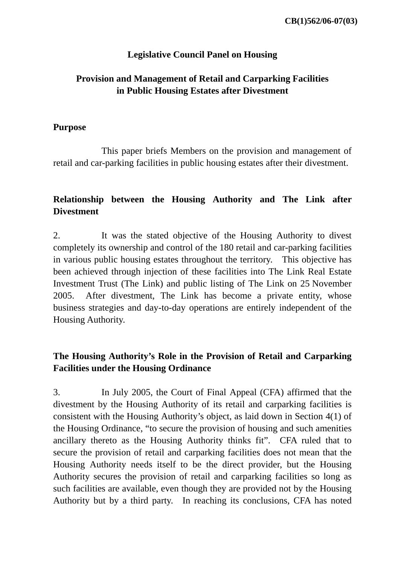#### **Legislative Council Panel on Housing**

## **Provision and Management of Retail and Carparking Facilities in Public Housing Estates after Divestment**

#### **Purpose**

 This paper briefs Members on the provision and management of retail and car-parking facilities in public housing estates after their divestment.

# **Relationship between the Housing Authority and The Link after Divestment**

2. It was the stated objective of the Housing Authority to divest completely its ownership and control of the 180 retail and car-parking facilities in various public housing estates throughout the territory. This objective has been achieved through injection of these facilities into The Link Real Estate Investment Trust (The Link) and public listing of The Link on 25 November 2005. After divestment, The Link has become a private entity, whose business strategies and day-to-day operations are entirely independent of the Housing Authority.

## **The Housing Authority's Role in the Provision of Retail and Carparking Facilities under the Housing Ordinance**

3. In July 2005, the Court of Final Appeal (CFA) affirmed that the divestment by the Housing Authority of its retail and carparking facilities is consistent with the Housing Authority's object, as laid down in Section 4(1) of the Housing Ordinance, "to secure the provision of housing and such amenities ancillary thereto as the Housing Authority thinks fit". CFA ruled that to secure the provision of retail and carparking facilities does not mean that the Housing Authority needs itself to be the direct provider, but the Housing Authority secures the provision of retail and carparking facilities so long as such facilities are available, even though they are provided not by the Housing Authority but by a third party. In reaching its conclusions, CFA has noted